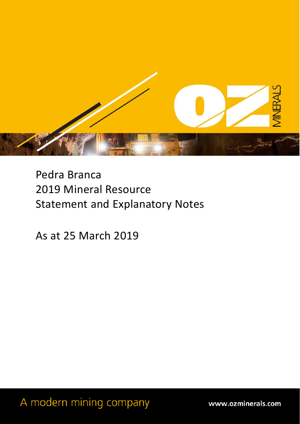

Pedra Branca 2019 Mineral Resource Statement and Explanatory Notes

As at 25 March 2019

A modern mining company

www.ozminerals.com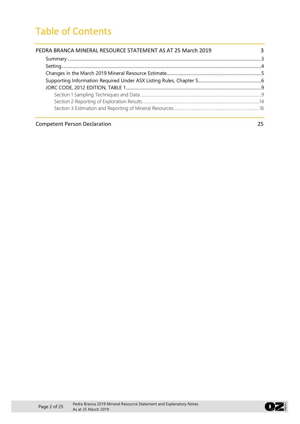# Table of Contents

| PEDRA BRANCA MINERAL RESOURCE STATEMENT AS AT 25 March 2019 | $\overline{3}$ |
|-------------------------------------------------------------|----------------|
|                                                             |                |
|                                                             |                |
|                                                             |                |
|                                                             |                |
|                                                             |                |
|                                                             |                |
|                                                             |                |
|                                                             |                |
|                                                             |                |

#### **Competent Person Declaration** 25

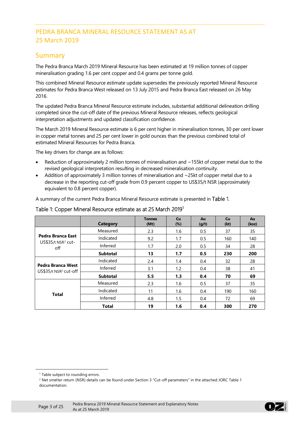## PEDRA BRANCA MINERAL RESOURCE STATEMENT AS AT 25 March 2019

## Summary

The Pedra Branca March 2019 Mineral Resource has been estimated at 19 million tonnes of copper mineralisation grading 1.6 per cent copper and 0.4 grams per tonne gold.

This combined Mineral Resource estimate update supersedes the previously reported Mineral Resource estimates for Pedra Branca West released on 13 July 2015 and Pedra Branca East released on 26 May 2016.

The updated Pedra Branca Mineral Resource estimate includes, substantial additional delineation drilling completed since the cut-off date of the previous Mineral Resource releases, reflects geological interpretation adjustments and updated classification confidence.

The March 2019 Mineral Resource estimate is 6 per cent higher in mineralisation tonnes, 30 per cent lower in copper metal tonnes and 25 per cent lower in gold ounces than the previous combined total of estimated Mineral Resources for Pedra Branca.

The key drivers for change are as follows:

- Reduction of approximately 2 million tonnes of mineralisation and ~155kt of copper metal due to the revised geological interpretation resulting in decreased mineralisation continuity.
- Addition of approximately 3 million tonnes of mineralisation and ~25kt of copper metal due to a decrease in the reporting cut-off grade from 0.9 percent copper to US\$35/t NSR (approximately equivalent to 0.8 percent copper).

A summary of the current Pedra Branca Mineral Resource estimate is presented in [Table 1](#page-2-0).

|                                                        | Category        | <b>Tonnes</b><br>(Mt) | <b>Cu</b><br>$(\%)$ | Au<br>(g/t) | Cu<br>(kt) | Au<br>(koz) |
|--------------------------------------------------------|-----------------|-----------------------|---------------------|-------------|------------|-------------|
|                                                        | Measured        | 2.3                   | 1.6                 | 0.5         | 37         | 35          |
| Pedra Branca East<br>US\$35/t NSR <sup>2</sup> cut-    | Indicated       | 9.2                   | 1.7                 | 0.5         | 160        | 140         |
| off                                                    | Inferred        | 1.7                   | 2.0                 | 0.5         | 34         | 28          |
|                                                        | <b>Subtotal</b> | 13                    | 1.7                 | 0.5         | 230        | 200         |
|                                                        | Indicated       | 2.4                   | 1.4                 | 0.4         | 32         | 28          |
| Pedra Branca West<br>US\$35/t NSR <sup>2</sup> cut-off | Inferred        | 3.1                   | 1.2                 | 0.4         | 38         | 41          |
|                                                        | <b>Subtotal</b> | 5.5                   | 1.3                 | 0.4         | 70         | 69          |
|                                                        | Measured        | 2.3                   | 1.6                 | 0.5         | 37         | 35          |
| <b>Total</b>                                           | Indicated       | 11                    | 1.6                 | 0.4         | 190        | 160         |
|                                                        | Inferred        | 4.8                   | 1.5                 | 0.4         | 72         | 69          |
|                                                        | <b>Total</b>    | 19                    | 1.6                 | 0.4         | 300        | 270         |

#### <span id="page-2-0"></span>Table [1](#page-2-1): Copper Mineral Resource estimate as at 25 March 2019<sup>1</sup>

<span id="page-2-2"></span><span id="page-2-1"></span>-



<sup>&</sup>lt;sup>1</sup> Table subject to rounding errors.

<sup>&</sup>lt;sup>2</sup> Net smelter return (NSR) details can be found under Section 3 "Cut-off parameters" in the attached JORC Table 1 documentation.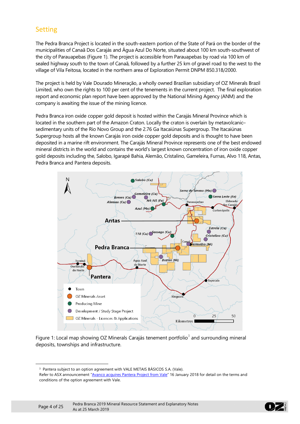## Setting

The Pedra Branca Project is located in the south-eastern portion of the State of Pará on the border of the municipalities of Canaã Dos Carajás and Água Azul Do Norte, situated about 100 km south-southwest of the city of Parauapebas [\(Figure 1\)](#page-3-0). The project is accessible from Parauapebas by road via 100 km of sealed highway south to the town of Canaã, followed by a further 25 km of gravel road to the west to the village of Vila Feitosa, located in the northern area of Exploration Permit DNPM 850.318/2000.

The project is held by Vale Dourado Mineração, a wholly owned Brazilian subsidiary of OZ Minerals Brazil Limited, who own the rights to 100 per cent of the tenements in the current project. The final exploration report and economic plan report have been approved by the National Mining Agency (ANM) and the company is awaiting the issue of the mining licence.

Pedra Branca iron oxide copper gold deposit is hosted within the Carajás Mineral Province which is located in the southern part of the Amazon Craton. Locally the craton is overlain by metavolcanic– sedimentary units of the Rio Novo Group and the 2.76 Ga Itacaiúnas Supergroup. The Itacaiúnas Supergroup hosts all the known Carajás iron oxide copper gold deposits and is thought to have been deposited in a marine rift environment. The Carajás Mineral Province represents one of the best endowed mineral districts in the world and contains the world's largest known concentration of iron oxide copper gold deposits including the, Salobo, Igarapé Bahia, Alemão, Cristalino, Gameleira, Furnas, Alvo 118, Antas, Pedra Branca and Pantera deposits.



<span id="page-3-0"></span>Figure 1: Local map showing OZ Minerals Carajás tenement portfolio<sup>[3](#page-3-1)</sup> and surrounding mineral deposits, townships and infrastructure.

<span id="page-3-1"></span>-



<sup>&</sup>lt;sup>3</sup> Pantera subject to an option agreement with VALE METAIS BÁSICOS S.A. (Vale).

Refer to ASX announcement ["Avanco acquires Pantera Project from Vale"](https://www.asx.com.au/asxpdf/20180116/pdf/43qv6v6khpww8d.pdf) 16 January 2018 for detail on the terms and conditions of the option agreement with Vale.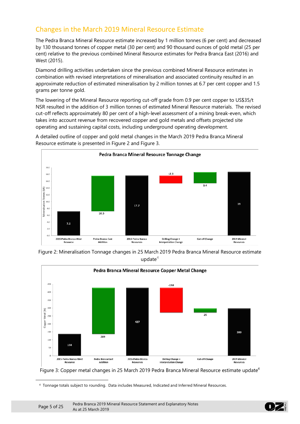## Changes in the March 2019 Mineral Resource Estimate

The Pedra Branca Mineral Resource estimate increased by 1 million tonnes (6 per cent) and decreased by 130 thousand tonnes of copper metal (30 per cent) and 90 thousand ounces of gold metal (25 per cent) relative to the previous combined Mineral Resource estimates for Pedra Branca East (2016) and West (2015).

Diamond drilling activities undertaken since the previous combined Mineral Resource estimates in combination with revised interpretations of mineralisation and associated continuity resulted in an approximate reduction of estimated mineralisation by 2 million tonnes at 6.7 per cent copper and 1.5 grams per tonne gold.

The lowering of the Mineral Resource reporting cut-off grade from 0.9 per cent copper to US\$35/t NSR resulted in the addition of 3 million tonnes of estimated Mineral Resource materials. The revised cut-off reflects approximately 80 per cent of a high-level assessment of a mining break-even, which takes into account revenue from recovered copper and gold metals and offsets projected site operating and sustaining capital costs, including underground operating development.



A detailed outline of copper and gold metal changes in the March 2019 Pedra Branca Mineral Resource estimate is presented in [Figure 2](#page-4-0) and [Figure 3.](#page-4-1)

<span id="page-4-0"></span>Figure 2: Mineralisation Tonnage changes in 25 March 2019 Pedra Branca Mineral Resource estimate update $4$ 



<span id="page-4-1"></span>Figure 3: Copper metal changes in 25 March 2019 Pedra Branca Mineral Resource estimate update<sup>4</sup>

<sup>4</sup> Tonnage totals subject to rounding. Data includes Measured, Indicated and Inferred Mineral Resources.

<span id="page-4-2"></span>-

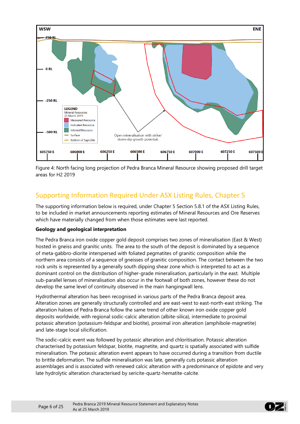

Figure 4: North facing long projection of Pedra Branca Mineral Resource showing proposed drill target areas for H2 2019

## Supporting Information Required Under ASX Listing Rules, Chapter 5

The supporting information below is required, under Chapter 5 Section 5.8.1 of the ASX Listing Rules, to be included in market announcements reporting estimates of Mineral Resources and Ore Reserves which have materially changed from when those estimates were last reported.

#### **Geology and geological interpretation**

The Pedra Branca iron oxide copper gold deposit comprises two zones of mineralisation (East & West) hosted in gneiss and granitic units. The area to the south of the deposit is dominated by a sequence of meta-gabbro-diorite interspersed with foliated pegmatites of granitic composition while the northern area consists of a sequence of gneisses of granitic composition. The contact between the two rock units is represented by a generally south dipping shear zone which is interpreted to act as a dominant control on the distribution of higher-grade mineralisation, particularly in the east. Multiple sub-parallel lenses of mineralisation also occur in the footwall of both zones, however these do not develop the same level of continuity observed in the main hangingwall lens.

Hydrothermal alteration has been recognised in various parts of the Pedra Branca deposit area. Alteration zones are generally structurally controlled and are east-west to east-north-east striking. The alteration haloes of Pedra Branca follow the same trend of other known iron oxide copper gold deposits worldwide, with regional sodic-calcic alteration (albite-silica), intermediate to proximal potassic alteration (potassium-feldspar and biotite), proximal iron alteration (amphibole-magnetite) and late-stage local silicification.

The sodic–calcic event was followed by potassic alteration and chloritisation. Potassic alteration characterised by potassium feldspar, biotite, magnetite, and quartz is spatially associated with sulfide mineralisation. The potassic alteration event appears to have occurred during a transition from ductile to brittle deformation. The sulfide mineralisation was late, generally cuts potassic alteration assemblages and is associated with renewed calcic alteration with a predominance of epidote and very late hydrolytic alteration characterised by sericite-quartz-hematite-calcite.

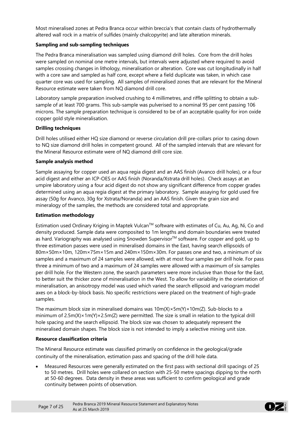Most mineralised zones at Pedra Branca occur within breccia's that contain clasts of hydrothermally altered wall rock in a matrix of sulfides (mainly chalcopyrite) and late alteration minerals.

#### **Sampling and sub-sampling techniques**

The Pedra Branca mineralisation was sampled using diamond drill holes. Core from the drill holes were sampled on nominal one metre intervals, but intervals were adjusted where required to avoid samples crossing changes in lithology, mineralisation or alteration. Core was cut longitudinally in half with a core saw and sampled as half core, except where a field duplicate was taken, in which case quarter core was used for sampling. All samples of mineralised zones that are relevant for the Mineral Resource estimate were taken from NQ diamond drill core.

Laboratory sample preparation involved crushing to 4 millimetres, and riffle splitting to obtain a subsample of at least 700 grams. This sub-sample was pulverised to a nominal 95 per cent passing 106 microns. The sample preparation technique is considered to be of an acceptable quality for iron oxide copper gold style mineralisation.

#### **Drilling techniques**

Drill holes utilised either HQ size diamond or reverse circulation drill pre-collars prior to casing down to NQ size diamond drill holes in competent ground. All of the sampled intervals that are relevant for the Mineral Resource estimate were of NQ diamond drill core size.

#### **Sample analysis method**

Sample assaying for copper used an aqua regia digest and an AAS finish (Avanco drill holes), or a four acid digest and either an ICP-OES or AAS finish (Noranda/Xstrata drill holes). Check assays at an umpire laboratory using a four acid digest do not show any significant difference from copper grades determined using an aqua regia digest at the primary laboratory. Sample assaying for gold used fire assay (50g for Avanco, 30g for Xstrata/Noranda) and an AAS finish. Given the grain size and mineralogy of the samples, the methods are considered total and appropriate.

#### **Estimation methodology**

Estimation used Ordinary Kriging in Maptek Vulcan™ software with estimates of Cu, Au, Ag, Ni, Co and density produced. Sample data were composited to 1m lengths and domain boundaries were treated as hard. Variography was analysed using Snowden Supervisor™ software. For copper and gold, up to three estimation passes were used in mineralised domains in the East, having search ellipsoids of 80m×50m×10m, 120m×75m×15m and 240m×150m×30m. For passes one and two, a minimum of six samples and a maximum of 24 samples were allowed, with at most four samples per drill hole. For pass three a minimum of two and a maximum of 24 samples were allowed with a maximum of six samples per drill hole. For the Western zone, the search parameters were more inclusive than those for the East, to better suit the thicker zone of mineralisation in the West. To allow for variability in the orientation of mineralisation, an anisotropy model was used which varied the search ellipsoid and variogram model axes on a block-by-block basis. No specific restrictions were placed on the treatment of high-grade samples.

The maximum block size in mineralised domains was  $10m(X) \times 5m(Y) \times 10m(Z)$ . Sub-blocks to a minimum of 2.5m(X)×1m(Y)×2.5m(Z) were permitted. The size is small in relation to the typical drill hole spacing and the search ellipsoid. The block size was chosen to adequately represent the mineralised domain shapes. The block size is not intended to imply a selective mining unit size.

#### **Resource classification criteria**

The Mineral Resource estimate was classified primarily on confidence in the geological/grade continuity of the mineralisation, estimation pass and spacing of the drill hole data.

• Measured Resources were generally estimated on the first pass with sectional drill spacings of 25 to 50 metres. Drill holes were collared on section with 25-50 metre spacings dipping to the north at 50-60 degrees. Data density in these areas was sufficient to confirm geological and grade continuity between points of observation.

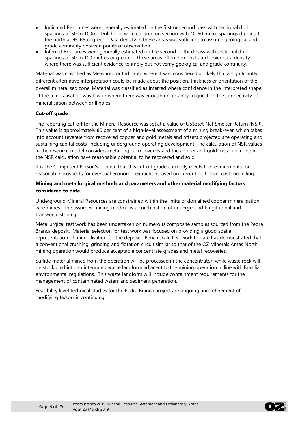- Indicated Resources were generally estimated on the first or second pass with sectional drill spacings of 50 to 100m. Drill holes were collared on section with 40-60 metre spacings dipping to the north at 45-65 degrees. Data density in these areas was sufficient to assume geological and grade continuity between points of observation.
- Inferred Resources were generally estimated on the second or third pass with sectional drill spacings of 50 to 100 metres or greater. These areas often demonstrated lower data density where there was sufficient evidence to imply but not verify geological and grade continuity.

Material was classified as Measured or Indicated where it was considered unlikely that a significantly different alternative interpretation could be made about the position, thickness or orientation of the overall mineralised zone. Material was classified as Inferred where confidence in the interpreted shape of the mineralisation was low or where there was enough uncertainty to question the connectivity of mineralisation between drill holes.

#### **Cut-off grade**

The reporting cut-off for the Mineral Resource was set at a value of US\$35/t Net Smelter Return (NSR). This value is approximately 80 per cent of a high-level assessment of a mining break-even which takes into account revenue from recovered copper and gold metals and offsets projected site operating and sustaining capital costs, including underground operating development. The calculation of NSR values in the resource model considers metallurgical recoveries and the copper and gold metal included in the NSR calculation have reasonable potential to be recovered and sold.

It is the Competent Person's opinion that this cut-off grade currently meets the requirements for reasonable prospects for eventual economic extraction based on current high-level cost modelling.

#### **Mining and metallurgical methods and parameters and other material modifying factors considered to date.**

Underground Mineral Resources are constrained within the limits of domained copper mineralisation wireframes. The assumed mining method is a combination of underground longitudinal and transverse stoping.

Metallurgical test work has been undertaken on numerous composite samples sourced from the Pedra Branca deposit. Material selection for test work was focused on providing a good spatial representation of mineralisation for the deposit. Bench scale test work to date has demonstrated that a conventional crushing, grinding and flotation circuit similar to that of the OZ Minerals Antas North mining operation would produce acceptable concentrate grades and metal recoveries.

Sulfide material mined from the operation will be processed in the concentrator, while waste rock will be stockpiled into an integrated waste landform adjacent to the mining operation in line with Brazilian environmental regulations. This waste landform will include containment requirements for the management of contaminated waters and sediment generation.

Feasibility level technical studies for the Pedra Branca project are ongoing and refinement of modifying factors is continuing.

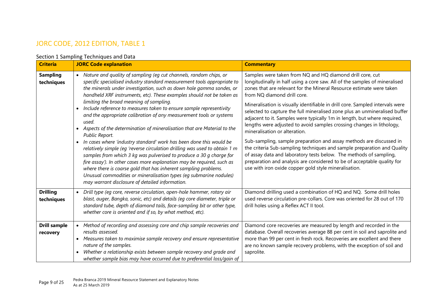## JORC CODE, 2012 EDITION, TABLE 1

#### Section 1 Sampling Techniques and Data

| <b>Criteria</b>                 | <b>JORC Code explanation</b>                                                                                                                                                                                                                                                                                                                                                                                                                                                                                                                                                                                                                                                                                                                                                                                                                                                                                                                                                                                                                                                                                  | <b>Commentary</b>                                                                                                                                                                                                                                                                                                                                                                                                                                                                                                                                                                                                                                                                                                                                                                                                                                                                                                                                               |
|---------------------------------|---------------------------------------------------------------------------------------------------------------------------------------------------------------------------------------------------------------------------------------------------------------------------------------------------------------------------------------------------------------------------------------------------------------------------------------------------------------------------------------------------------------------------------------------------------------------------------------------------------------------------------------------------------------------------------------------------------------------------------------------------------------------------------------------------------------------------------------------------------------------------------------------------------------------------------------------------------------------------------------------------------------------------------------------------------------------------------------------------------------|-----------------------------------------------------------------------------------------------------------------------------------------------------------------------------------------------------------------------------------------------------------------------------------------------------------------------------------------------------------------------------------------------------------------------------------------------------------------------------------------------------------------------------------------------------------------------------------------------------------------------------------------------------------------------------------------------------------------------------------------------------------------------------------------------------------------------------------------------------------------------------------------------------------------------------------------------------------------|
| <b>Sampling</b><br>techniques   | • Nature and quality of sampling (eg cut channels, random chips, or<br>specific specialised industry standard measurement tools appropriate to<br>the minerals under investigation, such as down hole gamma sondes, or<br>handheld XRF instruments, etc). These examples should not be taken as<br>limiting the broad meaning of sampling.<br>Include reference to measures taken to ensure sample representivity<br>and the appropriate calibration of any measurement tools or systems<br>used.<br>Aspects of the determination of mineralisation that are Material to the<br>Public Report.<br>In cases where 'industry standard' work has been done this would be<br>$\bullet$<br>relatively simple (eg 'reverse circulation drilling was used to obtain 1 m<br>samples from which 3 kg was pulverised to produce a 30 g charge for<br>fire assay'). In other cases more explanation may be required, such as<br>where there is coarse gold that has inherent sampling problems.<br>Unusual commodities or mineralisation types (eg submarine nodules)<br>may warrant disclosure of detailed information. | Samples were taken from NQ and HQ diamond drill core, cut<br>longitudinally in half using a core saw. All of the samples of mineralised<br>zones that are relevant for the Mineral Resource estimate were taken<br>from NQ diamond drill core.<br>Mineralisation is visually identifiable in drill core. Sampled intervals were<br>selected to capture the full mineralised zone plus an unmineralised buffer<br>adjacent to it. Samples were typically 1m in length, but where required,<br>lengths were adjusted to avoid samples crossing changes in lithology,<br>mineralisation or alteration.<br>Sub-sampling, sample preparation and assay methods are discussed in<br>the criteria Sub-sampling techniques and sample preparation and Quality<br>of assay data and laboratory tests below. The methods of sampling,<br>preparation and analysis are considered to be of acceptable quality for<br>use with iron oxide copper gold style mineralisation. |
| <b>Drilling</b><br>techniques   | • Drill type (eg core, reverse circulation, open-hole hammer, rotary air<br>blast, auger, Bangka, sonic, etc) and details (eg core diameter, triple or<br>standard tube, depth of diamond tails, face-sampling bit or other type,<br>whether core is oriented and if so, by what method, etc).                                                                                                                                                                                                                                                                                                                                                                                                                                                                                                                                                                                                                                                                                                                                                                                                                | Diamond drilling used a combination of HQ and NQ. Some drill holes<br>used reverse circulation pre-collars. Core was oriented for 28 out of 170<br>drill holes using a Reflex ACT II tool.                                                                                                                                                                                                                                                                                                                                                                                                                                                                                                                                                                                                                                                                                                                                                                      |
| <b>Drill sample</b><br>recovery | Method of recording and assessing core and chip sample recoveries and<br>$\bullet$<br>results assessed.<br>• Measures taken to maximise sample recovery and ensure representative<br>nature of the samples.<br>Whether a relationship exists between sample recovery and grade and<br>whether sample bias may have occurred due to preferential loss/gain of                                                                                                                                                                                                                                                                                                                                                                                                                                                                                                                                                                                                                                                                                                                                                  | Diamond core recoveries are measured by length and recorded in the<br>database. Overall recoveries average 88 per cent in soil and saprolite and<br>more than 99 per cent in fresh rock. Recoveries are excellent and there<br>are no known sample recovery problems, with the exception of soil and<br>saprolite.                                                                                                                                                                                                                                                                                                                                                                                                                                                                                                                                                                                                                                              |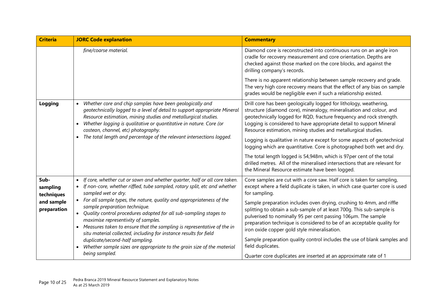| <b>Criteria</b>                                             | <b>JORC Code explanation</b>                                                                                                                                                                                                                                                                                                                                                                                                                                                                                                                                                                                                                                                                                                                                   | <b>Commentary</b>                                                                                                                                                                                                                                                                                                                                                                                                                                                                                                                                                                                                                                                                                                          |
|-------------------------------------------------------------|----------------------------------------------------------------------------------------------------------------------------------------------------------------------------------------------------------------------------------------------------------------------------------------------------------------------------------------------------------------------------------------------------------------------------------------------------------------------------------------------------------------------------------------------------------------------------------------------------------------------------------------------------------------------------------------------------------------------------------------------------------------|----------------------------------------------------------------------------------------------------------------------------------------------------------------------------------------------------------------------------------------------------------------------------------------------------------------------------------------------------------------------------------------------------------------------------------------------------------------------------------------------------------------------------------------------------------------------------------------------------------------------------------------------------------------------------------------------------------------------------|
|                                                             | fine/coarse material.                                                                                                                                                                                                                                                                                                                                                                                                                                                                                                                                                                                                                                                                                                                                          | Diamond core is reconstructed into continuous runs on an angle iron<br>cradle for recovery measurement and core orientation. Depths are<br>checked against those marked on the core blocks, and against the<br>drilling company's records.                                                                                                                                                                                                                                                                                                                                                                                                                                                                                 |
|                                                             |                                                                                                                                                                                                                                                                                                                                                                                                                                                                                                                                                                                                                                                                                                                                                                | There is no apparent relationship between sample recovery and grade.<br>The very high core recovery means that the effect of any bias on sample<br>grades would be negligible even if such a relationship existed.                                                                                                                                                                                                                                                                                                                                                                                                                                                                                                         |
| Logging                                                     | Whether core and chip samples have been geologically and<br>geotechnically logged to a level of detail to support appropriate Mineral<br>Resource estimation, mining studies and metallurgical studies.<br>Whether logging is qualitative or quantitative in nature. Core (or<br>$\bullet$<br>costean, channel, etc) photography.<br>The total length and percentage of the relevant intersections logged.<br>$\bullet$                                                                                                                                                                                                                                                                                                                                        | Drill core has been geologically logged for lithology, weathering,<br>structure (diamond core), mineralogy, mineralisation and colour, and<br>geotechnically logged for RQD, fracture frequency and rock strength.<br>Logging is considered to have appropriate detail to support Mineral<br>Resource estimation, mining studies and metallurgical studies.<br>Logging is qualitative in nature except for some aspects of geotechnical<br>logging which are quantitative. Core is photographed both wet and dry.<br>The total length logged is 54,948m, which is 97per cent of the total<br>drilled metres. All of the mineralised intersections that are relevant for<br>the Mineral Resource estimate have been logged. |
| Sub-<br>sampling<br>techniques<br>and sample<br>preparation | If core, whether cut or sawn and whether quarter, half or all core taken.<br>$\bullet$<br>If non-core, whether riffled, tube sampled, rotary split, etc and whether<br>$\bullet$<br>sampled wet or dry.<br>For all sample types, the nature, quality and appropriateness of the<br>$\bullet$<br>sample preparation technique.<br>Quality control procedures adopted for all sub-sampling stages to<br>$\bullet$<br>maximise representivity of samples.<br>Measures taken to ensure that the sampling is representative of the in<br>$\bullet$<br>situ material collected, including for instance results for field<br>duplicate/second-half sampling.<br>Whether sample sizes are appropriate to the grain size of the material<br>$\bullet$<br>being sampled. | Core samples are cut with a core saw. Half core is taken for sampling,<br>except where a field duplicate is taken, in which case quarter core is used<br>for sampling.<br>Sample preparation includes oven drying, crushing to 4mm, and riffle<br>splitting to obtain a sub-sample of at least 700g. This sub-sample is<br>pulverised to nominally 95 per cent passing 106µm. The sample<br>preparation technique is considered to be of an acceptable quality for<br>iron oxide copper gold style mineralisation.<br>Sample preparation quality control includes the use of blank samples and<br>field duplicates.<br>Quarter core duplicates are inserted at an approximate rate of 1                                    |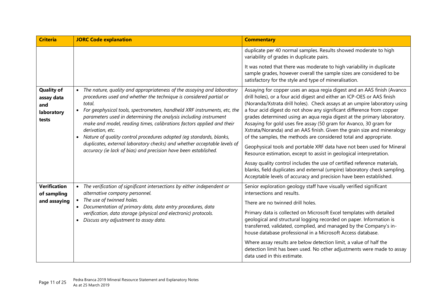| <b>Criteria</b>                                               | <b>JORC Code explanation</b>                                                                                                                                                                                                                                                                                                                                                                                                                                                                                                                                                                                                                          | <b>Commentary</b>                                                                                                                                                                                                                                                                                                                                                                                                                                                                                                                                                                                                                                                                                                                                                                                                                                                                                                                                                                         |
|---------------------------------------------------------------|-------------------------------------------------------------------------------------------------------------------------------------------------------------------------------------------------------------------------------------------------------------------------------------------------------------------------------------------------------------------------------------------------------------------------------------------------------------------------------------------------------------------------------------------------------------------------------------------------------------------------------------------------------|-------------------------------------------------------------------------------------------------------------------------------------------------------------------------------------------------------------------------------------------------------------------------------------------------------------------------------------------------------------------------------------------------------------------------------------------------------------------------------------------------------------------------------------------------------------------------------------------------------------------------------------------------------------------------------------------------------------------------------------------------------------------------------------------------------------------------------------------------------------------------------------------------------------------------------------------------------------------------------------------|
|                                                               |                                                                                                                                                                                                                                                                                                                                                                                                                                                                                                                                                                                                                                                       | duplicate per 40 normal samples. Results showed moderate to high<br>variability of grades in duplicate pairs.                                                                                                                                                                                                                                                                                                                                                                                                                                                                                                                                                                                                                                                                                                                                                                                                                                                                             |
|                                                               |                                                                                                                                                                                                                                                                                                                                                                                                                                                                                                                                                                                                                                                       | It was noted that there was moderate to high variability in duplicate<br>sample grades, however overall the sample sizes are considered to be<br>satisfactory for the style and type of mineralisation.                                                                                                                                                                                                                                                                                                                                                                                                                                                                                                                                                                                                                                                                                                                                                                                   |
| <b>Quality of</b><br>assay data<br>and<br>laboratory<br>tests | • The nature, quality and appropriateness of the assaying and laboratory<br>procedures used and whether the technique is considered partial or<br>total.<br>For geophysical tools, spectrometers, handheld XRF instruments, etc, the<br>$\bullet$<br>parameters used in determining the analysis including instrument<br>make and model, reading times, calibrations factors applied and their<br>derivation, etc.<br>Nature of quality control procedures adopted (eg standards, blanks,<br>$\bullet$<br>duplicates, external laboratory checks) and whether acceptable levels of<br>accuracy (ie lack of bias) and precision have been established. | Assaying for copper uses an aqua regia digest and an AAS finish (Avanco<br>drill holes), or a four acid digest and either an ICP-OES or AAS finish<br>(Noranda/Xstrata drill holes). Check assays at an umpire laboratory using<br>a four acid digest do not show any significant difference from copper<br>grades determined using an aqua regia digest at the primary laboratory.<br>Assaying for gold uses fire assay (50 gram for Avanco, 30 gram for<br>Xstrata/Noranda) and an AAS finish. Given the grain size and mineralogy<br>of the samples, the methods are considered total and appropriate.<br>Geophysical tools and portable XRF data have not been used for Mineral<br>Resource estimation, except to assist in geological interpretation.<br>Assay quality control includes the use of certified reference materials,<br>blanks, field duplicates and external (umpire) laboratory check sampling.<br>Acceptable levels of accuracy and precision have been established. |
| <b>Verification</b><br>of sampling<br>and assaying            | The verification of significant intersections by either independent or<br>$\bullet$<br>alternative company personnel.<br>The use of twinned holes.<br>$\bullet$<br>Documentation of primary data, data entry procedures, data<br>verification, data storage (physical and electronic) protocols.<br>Discuss any adjustment to assay data.                                                                                                                                                                                                                                                                                                             | Senior exploration geology staff have visually verified significant<br>intersections and results.<br>There are no twinned drill holes.<br>Primary data is collected on Microsoft Excel templates with detailed<br>geological and structural logging recorded on paper. Information is<br>transferred, validated, complied, and managed by the Company's in-<br>house database professional in a Microsoft Access database.<br>Where assay results are below detection limit, a value of half the<br>detection limit has been used. No other adjustments were made to assay<br>data used in this estimate.                                                                                                                                                                                                                                                                                                                                                                                 |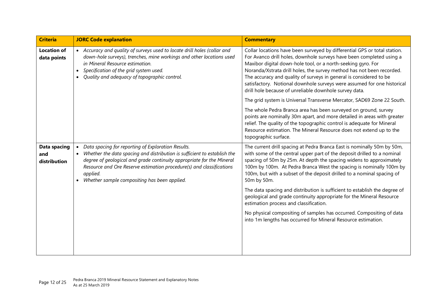| <b>Criteria</b>                     | <b>JORC Code explanation</b>                                                                                                                                                                                                                                                                                                                                          | <b>Commentary</b>                                                                                                                                                                                                                                                                                                                                                                                                                                                                                     |
|-------------------------------------|-----------------------------------------------------------------------------------------------------------------------------------------------------------------------------------------------------------------------------------------------------------------------------------------------------------------------------------------------------------------------|-------------------------------------------------------------------------------------------------------------------------------------------------------------------------------------------------------------------------------------------------------------------------------------------------------------------------------------------------------------------------------------------------------------------------------------------------------------------------------------------------------|
| <b>Location of</b><br>data points   | • Accuracy and quality of surveys used to locate drill holes (collar and<br>down-hole surveys), trenches, mine workings and other locations used<br>in Mineral Resource estimation.<br>Specification of the grid system used.<br>Quality and adequacy of topographic control.                                                                                         | Collar locations have been surveyed by differential GPS or total station.<br>For Avanco drill holes, downhole surveys have been completed using a<br>Maxibor digital down-hole tool, or a north-seeking gyro. For<br>Noranda/Xstrata drill holes, the survey method has not been recorded.<br>The accuracy and quality of surveys in general is considered to be<br>satisfactory. Notional downhole surveys were assumed for one historical<br>drill hole because of unreliable downhole survey data. |
|                                     |                                                                                                                                                                                                                                                                                                                                                                       | The grid system is Universal Transverse Mercator, SAD69 Zone 22 South.                                                                                                                                                                                                                                                                                                                                                                                                                                |
|                                     |                                                                                                                                                                                                                                                                                                                                                                       | The whole Pedra Branca area has been surveyed on ground, survey<br>points are nominally 30m apart, and more detailed in areas with greater<br>relief. The quality of the topographic control is adequate for Mineral<br>Resource estimation. The Mineral Resource does not extend up to the<br>topographic surface.                                                                                                                                                                                   |
| Data spacing<br>and<br>distribution | Data spacing for reporting of Exploration Results.<br>$\bullet$<br>Whether the data spacing and distribution is sufficient to establish the<br>$\bullet$<br>degree of geological and grade continuity appropriate for the Mineral<br>Resource and Ore Reserve estimation procedure(s) and classifications<br>applied.<br>Whether sample compositing has been applied. | The current drill spacing at Pedra Branca East is nominally 50m by 50m,<br>with some of the central upper part of the deposit drilled to a nominal<br>spacing of 50m by 25m. At depth the spacing widens to approximately<br>100m by 100m. At Pedra Branca West the spacing is nominally 100m by<br>100m, but with a subset of the deposit drilled to a nominal spacing of<br>50m by 50m.                                                                                                             |
|                                     |                                                                                                                                                                                                                                                                                                                                                                       | The data spacing and distribution is sufficient to establish the degree of<br>geological and grade continuity appropriate for the Mineral Resource<br>estimation process and classification.                                                                                                                                                                                                                                                                                                          |
|                                     |                                                                                                                                                                                                                                                                                                                                                                       | No physical compositing of samples has occurred. Compositing of data<br>into 1m lengths has occurred for Mineral Resource estimation.                                                                                                                                                                                                                                                                                                                                                                 |
|                                     |                                                                                                                                                                                                                                                                                                                                                                       |                                                                                                                                                                                                                                                                                                                                                                                                                                                                                                       |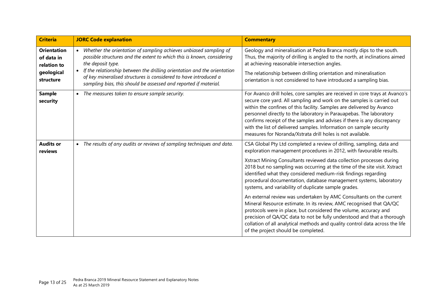| <b>Criteria</b>                                                            | <b>JORC Code explanation</b>                                                                                                                                                                                                                                                                                                                                                                                   | <b>Commentary</b>                                                                                                                                                                                                                                                                                                                                                                                                                                                                                                   |
|----------------------------------------------------------------------------|----------------------------------------------------------------------------------------------------------------------------------------------------------------------------------------------------------------------------------------------------------------------------------------------------------------------------------------------------------------------------------------------------------------|---------------------------------------------------------------------------------------------------------------------------------------------------------------------------------------------------------------------------------------------------------------------------------------------------------------------------------------------------------------------------------------------------------------------------------------------------------------------------------------------------------------------|
| <b>Orientation</b><br>of data in<br>relation to<br>geological<br>structure | Whether the orientation of sampling achieves unbiased sampling of<br>$\bullet$<br>possible structures and the extent to which this is known, considering<br>the deposit type.<br>If the relationship between the drilling orientation and the orientation<br>$\bullet$<br>of key mineralised structures is considered to have introduced a<br>sampling bias, this should be assessed and reported if material. | Geology and mineralisation at Pedra Branca mostly dips to the south.<br>Thus, the majority of drilling is angled to the north, at inclinations aimed<br>at achieving reasonable intersection angles.<br>The relationship between drilling orientation and mineralisation<br>orientation is not considered to have introduced a sampling bias.                                                                                                                                                                       |
| <b>Sample</b><br>security                                                  | • The measures taken to ensure sample security.                                                                                                                                                                                                                                                                                                                                                                | For Avanco drill holes, core samples are received in core trays at Avanco's<br>secure core yard. All sampling and work on the samples is carried out<br>within the confines of this facility. Samples are delivered by Avanco<br>personnel directly to the laboratory in Parauapebas. The laboratory<br>confirms receipt of the samples and advises if there is any discrepancy<br>with the list of delivered samples. Information on sample security<br>measures for Noranda/Xstrata drill holes is not available. |
| <b>Audits or</b><br>reviews                                                | The results of any audits or reviews of sampling techniques and data.<br>$\bullet$                                                                                                                                                                                                                                                                                                                             | CSA Global Pty Ltd completed a review of drilling, sampling, data and<br>exploration management procedures in 2012, with favourable results.<br>Xstract Mining Consultants reviewed data collection processes during<br>2018 but no sampling was occurring at the time of the site visit. Xstract<br>identified what they considered medium-risk findings regarding<br>procedural documentation, database management systems, laboratory<br>systems, and variability of duplicate sample grades.                    |
|                                                                            |                                                                                                                                                                                                                                                                                                                                                                                                                | An external review was undertaken by AMC Consultants on the current<br>Mineral Resource estimate. In its review, AMC recognised that QA/QC<br>protocols were in place, but considered the volume, accuracy and<br>precision of QA/QC data to not be fully understood and that a thorough<br>collation of all analytical methods and quality control data across the life<br>of the project should be completed.                                                                                                     |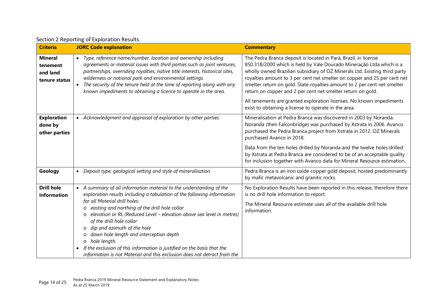|  | Section 2 Reporting of Exploration Results |  |  |  |
|--|--------------------------------------------|--|--|--|
|--|--------------------------------------------|--|--|--|

| <b>Criteria</b>                                         | <b>JORC Code explanation</b>                                                                                                                                                                                                                                                                                                                                                                                                                                                                                                                                                                                                       | <b>Commentary</b>                                                                                                                                                                                                                                                                                                                                                                                                                                                                                                                                                            |
|---------------------------------------------------------|------------------------------------------------------------------------------------------------------------------------------------------------------------------------------------------------------------------------------------------------------------------------------------------------------------------------------------------------------------------------------------------------------------------------------------------------------------------------------------------------------------------------------------------------------------------------------------------------------------------------------------|------------------------------------------------------------------------------------------------------------------------------------------------------------------------------------------------------------------------------------------------------------------------------------------------------------------------------------------------------------------------------------------------------------------------------------------------------------------------------------------------------------------------------------------------------------------------------|
| <b>Mineral</b><br>tenement<br>and land<br>tenure status | • Type, reference name/number, location and ownership including<br>agreements or material issues with third parties such as joint ventures,<br>partnerships, overriding royalties, native title interests, historical sites,<br>wilderness or national park and environmental settings.<br>The security of the tenure held at the time of reporting along with any<br>$\bullet$<br>known impediments to obtaining a licence to operate in the area.                                                                                                                                                                                | The Pedra Branca deposit is located in Pará, Brazil, in license<br>850.318/2000 which is held by Vale Dourado Mineração Ltda which is a<br>wholly owned Brazilian subsidiary of OZ Minerals Ltd. Existing third party<br>royalties amount to 3 per cent net smelter on copper and 25 per cent net<br>smelter return on gold. State royalties amount to 2 per cent net smelter<br>return on copper and 2 per cent net smelter return on gold.<br>All tenements are granted exploration licenses. No known impediments<br>exist to obtaining a license to operate in the area. |
| <b>Exploration</b><br>done by<br>other parties          | • Acknowledgment and appraisal of exploration by other parties.                                                                                                                                                                                                                                                                                                                                                                                                                                                                                                                                                                    | Mineralisation at Pedra Branca was discovered in 2003 by Noranda.<br>Noranda (then Falconbridge) was purchased by Xstrata in 2006. Avanco<br>purchased the Pedra Branca project from Xstrata in 2012. OZ Minerals<br>purchased Avanco in 2018.<br>Data from the ten holes drilled by Noranda and the twelve holes drilled<br>by Xstrata at Pedra Branca are considered to be of an acceptable quality<br>for inclusion together with Avanco data for Mineral Resource estimation.                                                                                            |
| Geology                                                 | • Deposit type, geological setting and style of mineralisation.                                                                                                                                                                                                                                                                                                                                                                                                                                                                                                                                                                    | Pedra Branca is an iron oxide copper gold deposit, hosted predominantly<br>by mafic metavolcanic and granitic rocks.                                                                                                                                                                                                                                                                                                                                                                                                                                                         |
| <b>Drill hole</b><br><b>Information</b>                 | • A summary of all information material to the understanding of the<br>exploration results including a tabulation of the following information<br>for all Material drill holes:<br>easting and northing of the drill hole collar<br>$\circ$<br>elevation or RL (Reduced Level - elevation above sea level in metres)<br>$\circ$<br>of the drill hole collar<br>dip and azimuth of the hole<br>$\circ$<br>down hole length and interception depth<br>hole length.<br>$\circ$<br>If the exclusion of this information is justified on the basis that the<br>information is not Material and this exclusion does not detract from the | No Exploration Results have been reported in this release, therefore there<br>is no drill hole information to report.<br>The Mineral Resource estimate uses all of the available drill hole<br>information.                                                                                                                                                                                                                                                                                                                                                                  |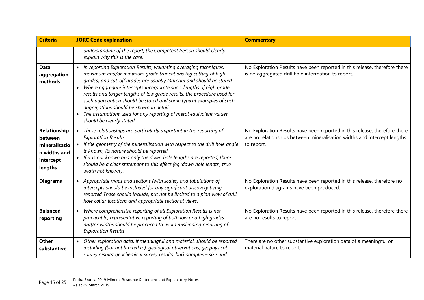| <b>Criteria</b>                                                                  | <b>JORC Code explanation</b>                                                                                                                                                                                                                                                                                                                                                                                                                                                                                                                                                                   | <b>Commentary</b>                                                                                                                                                    |
|----------------------------------------------------------------------------------|------------------------------------------------------------------------------------------------------------------------------------------------------------------------------------------------------------------------------------------------------------------------------------------------------------------------------------------------------------------------------------------------------------------------------------------------------------------------------------------------------------------------------------------------------------------------------------------------|----------------------------------------------------------------------------------------------------------------------------------------------------------------------|
|                                                                                  | understanding of the report, the Competent Person should clearly<br>explain why this is the case.                                                                                                                                                                                                                                                                                                                                                                                                                                                                                              |                                                                                                                                                                      |
| <b>Data</b><br>aggregation<br>methods                                            | In reporting Exploration Results, weighting averaging techniques,<br>maximum and/or minimum grade truncations (eg cutting of high<br>grades) and cut-off grades are usually Material and should be stated.<br>Where aggregate intercepts incorporate short lengths of high grade<br>$\bullet$<br>results and longer lengths of low grade results, the procedure used for<br>such aggregation should be stated and some typical examples of such<br>aggregations should be shown in detail.<br>• The assumptions used for any reporting of metal equivalent values<br>should be clearly stated. | No Exploration Results have been reported in this release, therefore there<br>is no aggregated drill hole information to report.                                     |
| Relationship<br>between<br>mineralisatio<br>n widths and<br>intercept<br>lengths | These relationships are particularly important in the reporting of<br><b>Exploration Results.</b><br>If the geometry of the mineralisation with respect to the drill hole angle<br>is known, its nature should be reported.<br>If it is not known and only the down hole lengths are reported, there<br>$\bullet$<br>should be a clear statement to this effect (eg 'down hole length, true<br>width not known').                                                                                                                                                                              | No Exploration Results have been reported in this release, therefore there<br>are no relationships between mineralisation widths and intercept lengths<br>to report. |
| <b>Diagrams</b>                                                                  | Appropriate maps and sections (with scales) and tabulations of<br>$\bullet$<br>intercepts should be included for any significant discovery being<br>reported These should include, but not be limited to a plan view of drill<br>hole collar locations and appropriate sectional views.                                                                                                                                                                                                                                                                                                        | No Exploration Results have been reported in this release, therefore no<br>exploration diagrams have been produced.                                                  |
| <b>Balanced</b><br>reporting                                                     | Where comprehensive reporting of all Exploration Results is not<br>$\bullet$<br>practicable, representative reporting of both low and high grades<br>and/or widths should be practiced to avoid misleading reporting of<br><b>Exploration Results.</b>                                                                                                                                                                                                                                                                                                                                         | No Exploration Results have been reported in this release, therefore there<br>are no results to report.                                                              |
| <b>Other</b><br>substantive                                                      | Other exploration data, if meaningful and material, should be reported<br>$\bullet$<br>including (but not limited to): geological observations; geophysical<br>survey results; geochemical survey results; bulk samples - size and                                                                                                                                                                                                                                                                                                                                                             | There are no other substantive exploration data of a meaningful or<br>material nature to report.                                                                     |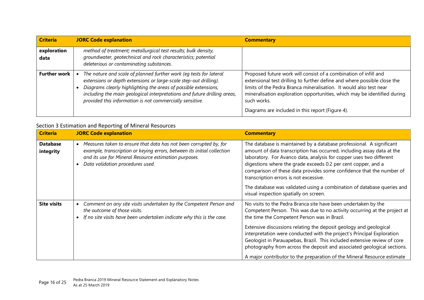| <b>Criteria</b>     | <b>JORC Code explanation</b>                                                                                                                                                                                                                                                                                                                       | <b>Commentary</b>                                                                                                                                                                                                                                                                                                                                                 |
|---------------------|----------------------------------------------------------------------------------------------------------------------------------------------------------------------------------------------------------------------------------------------------------------------------------------------------------------------------------------------------|-------------------------------------------------------------------------------------------------------------------------------------------------------------------------------------------------------------------------------------------------------------------------------------------------------------------------------------------------------------------|
| exploration<br>data | method of treatment; metallurgical test results; bulk density,<br>groundwater, geotechnical and rock characteristics; potential<br>deleterious or contaminating substances.                                                                                                                                                                        |                                                                                                                                                                                                                                                                                                                                                                   |
| <b>Further work</b> | The nature and scale of planned further work (eq tests for lateral<br>extensions or depth extensions or large-scale step-out drilling).<br>Diagrams clearly highlighting the areas of possible extensions,<br>including the main geological interpretations and future drilling areas,<br>provided this information is not commercially sensitive. | Proposed future work will consist of a combination of infill and<br>extensional test drilling to further define and where possible close the<br>limits of the Pedra Branca mineralisation. It would also test near<br>mineralisation exploration opportunities, which may be identified during<br>such works.<br>Diagrams are included in this report (Figure 4). |

#### Section 3 Estimation and Reporting of Mineral Resources

| <b>Criteria</b>              | <b>JORC Code explanation</b>                                                                                                                                                                                                                           | <b>Commentary</b>                                                                                                                                                                                                                                                                                                                                                                                        |
|------------------------------|--------------------------------------------------------------------------------------------------------------------------------------------------------------------------------------------------------------------------------------------------------|----------------------------------------------------------------------------------------------------------------------------------------------------------------------------------------------------------------------------------------------------------------------------------------------------------------------------------------------------------------------------------------------------------|
| <b>Database</b><br>integrity | Measures taken to ensure that data has not been corrupted by, for<br>$\bullet$<br>example, transcription or keying errors, between its initial collection<br>and its use for Mineral Resource estimation purposes.<br>Data validation procedures used. | The database is maintained by a database professional. A significant<br>amount of data transcription has occurred, including assay data at the<br>laboratory. For Avanco data, analysis for copper uses two different<br>digestions where the grade exceeds 0.2 per cent copper, and a<br>comparison of these data provides some confidence that the number of<br>transcription errors is not excessive. |
|                              |                                                                                                                                                                                                                                                        | The database was validated using a combination of database queries and<br>visual inspection spatially on screen.                                                                                                                                                                                                                                                                                         |
| <b>Site visits</b>           | Comment on any site visits undertaken by the Competent Person and<br>$\bullet$<br>the outcome of those visits.<br>If no site visits have been undertaken indicate why this is the case.                                                                | No visits to the Pedra Branca site have been undertaken by the<br>Competent Person. This was due to no activity occurring at the project at<br>the time the Competent Person was in Brazil.                                                                                                                                                                                                              |
|                              |                                                                                                                                                                                                                                                        | Extensive discussions relating the deposit geology and geological<br>interpretation were conducted with the project's Principal Exploration<br>Geologist in Parauapebas, Brazil. This included extensive review of core<br>photography from across the deposit and associated geological sections.                                                                                                       |
|                              |                                                                                                                                                                                                                                                        | A major contributor to the preparation of the Mineral Resource estimate                                                                                                                                                                                                                                                                                                                                  |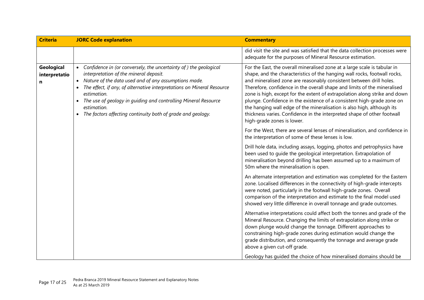| <b>Criteria</b>                  | <b>JORC Code explanation</b>                                                                                                                                                                                                                                                                                                                                                                                | <b>Commentary</b>                                                                                                                                                                                                                                                                                                                                                                                                                                                                                                                                                                                                                                    |
|----------------------------------|-------------------------------------------------------------------------------------------------------------------------------------------------------------------------------------------------------------------------------------------------------------------------------------------------------------------------------------------------------------------------------------------------------------|------------------------------------------------------------------------------------------------------------------------------------------------------------------------------------------------------------------------------------------------------------------------------------------------------------------------------------------------------------------------------------------------------------------------------------------------------------------------------------------------------------------------------------------------------------------------------------------------------------------------------------------------------|
|                                  |                                                                                                                                                                                                                                                                                                                                                                                                             | did visit the site and was satisfied that the data collection processes were<br>adequate for the purposes of Mineral Resource estimation.                                                                                                                                                                                                                                                                                                                                                                                                                                                                                                            |
| Geological<br>interpretatio<br>n | Confidence in (or conversely, the uncertainty of) the geological<br>interpretation of the mineral deposit.<br>Nature of the data used and of any assumptions made.<br>The effect, if any, of alternative interpretations on Mineral Resource<br>estimation.<br>The use of geology in guiding and controlling Mineral Resource<br>estimation.<br>The factors affecting continuity both of grade and geology. | For the East, the overall mineralised zone at a large scale is tabular in<br>shape, and the characteristics of the hanging wall rocks, footwall rocks,<br>and mineralised zone are reasonably consistent between drill holes.<br>Therefore, confidence in the overall shape and limits of the mineralised<br>zone is high, except for the extent of extrapolation along strike and down<br>plunge. Confidence in the existence of a consistent high-grade zone on<br>the hanging wall edge of the mineralisation is also high, although its<br>thickness varies. Confidence in the interpreted shape of other footwall<br>high-grade zones is lower. |
|                                  |                                                                                                                                                                                                                                                                                                                                                                                                             | For the West, there are several lenses of mineralisation, and confidence in<br>the interpretation of some of these lenses is low.                                                                                                                                                                                                                                                                                                                                                                                                                                                                                                                    |
|                                  |                                                                                                                                                                                                                                                                                                                                                                                                             | Drill hole data, including assays, logging, photos and petrophysics have<br>been used to guide the geological interpretation. Extrapolation of<br>mineralisation beyond drilling has been assumed up to a maximum of<br>50m where the mineralisation is open.                                                                                                                                                                                                                                                                                                                                                                                        |
|                                  |                                                                                                                                                                                                                                                                                                                                                                                                             | An alternate interpretation and estimation was completed for the Eastern<br>zone. Localised differences in the connectivity of high-grade intercepts<br>were noted, particularly in the footwall high-grade zones. Overall<br>comparison of the interpretation and estimate to the final model used<br>showed very little difference in overall tonnage and grade outcomes.                                                                                                                                                                                                                                                                          |
|                                  |                                                                                                                                                                                                                                                                                                                                                                                                             | Alternative interpretations could affect both the tonnes and grade of the<br>Mineral Resource. Changing the limits of extrapolation along strike or<br>down plunge would change the tonnage. Different approaches to<br>constraining high-grade zones during estimation would change the<br>grade distribution, and consequently the tonnage and average grade<br>above a given cut-off grade.                                                                                                                                                                                                                                                       |
|                                  |                                                                                                                                                                                                                                                                                                                                                                                                             | Geology has guided the choice of how mineralised domains should be                                                                                                                                                                                                                                                                                                                                                                                                                                                                                                                                                                                   |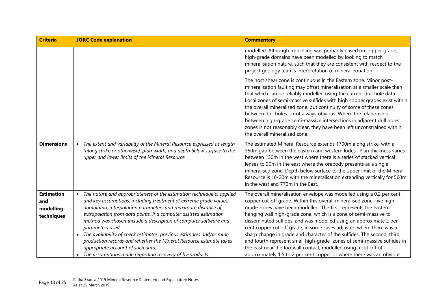| <b>Criteria</b>                                     | <b>JORC Code explanation</b>                                                                                                                                                                                                                                                                                                                                                                                                                                                                                                                                                                                                                  | <b>Commentary</b>                                                                                                                                                                                                                                                                                                                                                                                                                                                                                                                                                                                                                                                                                                                    |
|-----------------------------------------------------|-----------------------------------------------------------------------------------------------------------------------------------------------------------------------------------------------------------------------------------------------------------------------------------------------------------------------------------------------------------------------------------------------------------------------------------------------------------------------------------------------------------------------------------------------------------------------------------------------------------------------------------------------|--------------------------------------------------------------------------------------------------------------------------------------------------------------------------------------------------------------------------------------------------------------------------------------------------------------------------------------------------------------------------------------------------------------------------------------------------------------------------------------------------------------------------------------------------------------------------------------------------------------------------------------------------------------------------------------------------------------------------------------|
|                                                     |                                                                                                                                                                                                                                                                                                                                                                                                                                                                                                                                                                                                                                               | modelled. Although modelling was primarily based on copper grade,<br>high-grade domains have been modelled by looking to match<br>mineralisation nature, such that they are consistent with respect to the<br>project geology team's interpretation of mineral zonation.                                                                                                                                                                                                                                                                                                                                                                                                                                                             |
|                                                     |                                                                                                                                                                                                                                                                                                                                                                                                                                                                                                                                                                                                                                               | The host shear zone is continuous in the Eastern zone. Minor post-<br>mineralisation faulting may offset mineralisation at a smaller scale than<br>that which can be reliably modelled using the current drill hole data.<br>Local zones of semi-massive sulfides with high copper grades exist within<br>the overall mineralised zone, but continuity of some of these zones<br>between drill holes is not always obvious. Where the relationship<br>between high-grade semi-massive intersections in adjacent drill holes<br>zones is not reasonably clear, they have been left unconstrained within<br>the overall mineralised zone.                                                                                              |
| <b>Dimensions</b>                                   | The extent and variability of the Mineral Resource expressed as length<br>$\bullet$<br>(along strike or otherwise), plan width, and depth below surface to the<br>upper and lower limits of the Mineral Resource.                                                                                                                                                                                                                                                                                                                                                                                                                             | The estimated Mineral Resource extends 1700m along strike, with a<br>350m gap between the eastern and western lodes. Plan thickness varies<br>between 130m in the west where there is a series of stacked vertical<br>lenses to 20m in the east where the orebody presents as a single<br>mineralised zone. Depth below surface to the upper limit of the Mineral<br>Resource is 10-20m with the mineralisation extending vertically for 560m<br>in the west and 770m in the East.                                                                                                                                                                                                                                                   |
| <b>Estimation</b><br>and<br>modelling<br>techniques | The nature and appropriateness of the estimation technique(s) applied<br>$\bullet$<br>and key assumptions, including treatment of extreme grade values,<br>domaining, interpolation parameters and maximum distance of<br>extrapolation from data points. If a computer assisted estimation<br>method was chosen include a description of computer software and<br>parameters used.<br>The availability of check estimates, previous estimates and/or mine<br>$\bullet$<br>production records and whether the Mineral Resource estimate takes<br>appropriate account of such data.<br>The assumptions made regarding recovery of by-products. | The overall mineralisation envelope was modelled using a 0.2 per cent<br>copper cut-off grade. Within this overall mineralised zone, five high-<br>grade zones have been modelled. The first represents the eastern<br>hanging wall high-grade zone, which is a zone of semi-massive to<br>disseminated sulfides, and was modelled using an approximate 2 per<br>cent copper cut-off grade, in some cases adjusted where there was a<br>sharp change in grade and character of the sulfides. The second, third<br>and fourth represent small high-grade zones of semi-massive sulfides in<br>the east near the footwall contact, modelled using a cut-off of<br>approximately 1.5 to 2 per cent copper or where there was an obvious |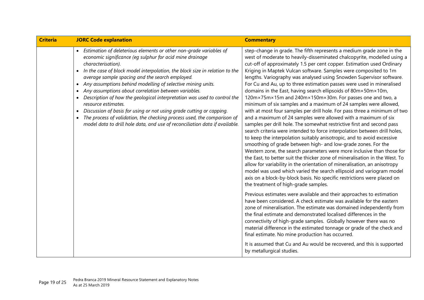| <b>Criteria</b> | <b>JORC Code explanation</b>                                                                                                                                                                                                                                                                                                                                                                                                                                                                                                                                                                                                                                                                                                                                      | <b>Commentary</b>                                                                                                                                                                                                                                                                                                                                                                                                                                                                                                                                                                                                                                                                                                                                                                                                                                                                                                                                                                                                                                                                                                                                                                                                                                                                                                                                                                                                                                                                                                                                                                                                                                                                                                                                                                                                                                                                                                                                                                                                                                                                                                                         |
|-----------------|-------------------------------------------------------------------------------------------------------------------------------------------------------------------------------------------------------------------------------------------------------------------------------------------------------------------------------------------------------------------------------------------------------------------------------------------------------------------------------------------------------------------------------------------------------------------------------------------------------------------------------------------------------------------------------------------------------------------------------------------------------------------|-------------------------------------------------------------------------------------------------------------------------------------------------------------------------------------------------------------------------------------------------------------------------------------------------------------------------------------------------------------------------------------------------------------------------------------------------------------------------------------------------------------------------------------------------------------------------------------------------------------------------------------------------------------------------------------------------------------------------------------------------------------------------------------------------------------------------------------------------------------------------------------------------------------------------------------------------------------------------------------------------------------------------------------------------------------------------------------------------------------------------------------------------------------------------------------------------------------------------------------------------------------------------------------------------------------------------------------------------------------------------------------------------------------------------------------------------------------------------------------------------------------------------------------------------------------------------------------------------------------------------------------------------------------------------------------------------------------------------------------------------------------------------------------------------------------------------------------------------------------------------------------------------------------------------------------------------------------------------------------------------------------------------------------------------------------------------------------------------------------------------------------------|
|                 | • Estimation of deleterious elements or other non-grade variables of<br>economic significance (eg sulphur for acid mine drainage<br>characterisation).<br>In the case of block model interpolation, the block size in relation to the<br>average sample spacing and the search employed.<br>Any assumptions behind modelling of selective mining units.<br>Any assumptions about correlation between variables.<br>Description of how the geological interpretation was used to control the<br>resource estimates.<br>Discussion of basis for using or not using grade cutting or capping.<br>$\bullet$<br>The process of validation, the checking process used, the comparison of<br>model data to drill hole data, and use of reconciliation data if available. | step-change in grade. The fifth represents a medium grade zone in the<br>west of moderate to heavily-disseminated chalcopyrite, modelled using a<br>cut-off of approximately 1.5 per cent copper. Estimation used Ordinary<br>Kriging in Maptek Vulcan software. Samples were composited to 1m<br>lengths. Variography was analysed using Snowden Supervisor software.<br>For Cu and Au, up to three estimation passes were used in mineralised<br>domains in the East, having search ellipsoids of 80m×50m×10m,<br>120m×75m×15m and 240m×150m×30m. For passes one and two, a<br>minimum of six samples and a maximum of 24 samples were allowed,<br>with at most four samples per drill hole. For pass three a minimum of two<br>and a maximum of 24 samples were allowed with a maximum of six<br>samples per drill hole. The somewhat restrictive first and second pass<br>search criteria were intended to force interpolation between drill holes,<br>to keep the interpolation suitably anisotropic, and to avoid excessive<br>smoothing of grade between high- and low-grade zones. For the<br>Western zone, the search parameters were more inclusive than those for<br>the East, to better suit the thicker zone of mineralisation in the West. To<br>allow for variability in the orientation of mineralisation, an anisotropy<br>model was used which varied the search ellipsoid and variogram model<br>axis on a block-by-block basis. No specific restrictions were placed on<br>the treatment of high-grade samples.<br>Previous estimates were available and their approaches to estimation<br>have been considered. A check estimate was available for the eastern<br>zone of mineralisation. The estimate was domained independently from<br>the final estimate and demonstrated localised differences in the<br>connectivity of high-grade samples. Globally however there was no<br>material difference in the estimated tonnage or grade of the check and<br>final estimate. No mine production has occurred.<br>It is assumed that Cu and Au would be recovered, and this is supported<br>by metallurgical studies. |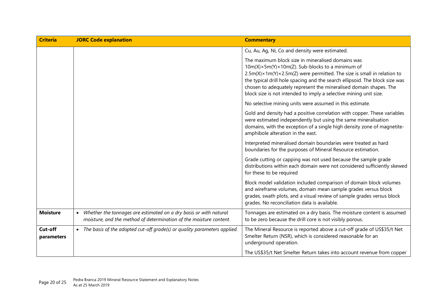| <b>Criteria</b>       | <b>JORC Code explanation</b>                                                                                                                         | <b>Commentary</b>                                                                                                                                                                                                                                                                                                                                                                                                                        |
|-----------------------|------------------------------------------------------------------------------------------------------------------------------------------------------|------------------------------------------------------------------------------------------------------------------------------------------------------------------------------------------------------------------------------------------------------------------------------------------------------------------------------------------------------------------------------------------------------------------------------------------|
|                       |                                                                                                                                                      | Cu, Au, Ag, Ni, Co and density were estimated.                                                                                                                                                                                                                                                                                                                                                                                           |
|                       |                                                                                                                                                      | The maximum block size in mineralised domains was<br>$10m(X) \times 5m(Y) \times 10m(Z)$ . Sub-blocks to a minimum of<br>$2.5m(X) \times 1m(Y) \times 2.5m(Z)$ were permitted. The size is small in relation to<br>the typical drill hole spacing and the search ellipsoid. The block size was<br>chosen to adequately represent the mineralised domain shapes. The<br>block size is not intended to imply a selective mining unit size. |
|                       |                                                                                                                                                      | No selective mining units were assumed in this estimate.                                                                                                                                                                                                                                                                                                                                                                                 |
|                       |                                                                                                                                                      | Gold and density had a positive correlation with copper. These variables<br>were estimated independently but using the same mineralisation<br>domains, with the exception of a single high density zone of magnetite-<br>amphibole alteration in the east.                                                                                                                                                                               |
|                       |                                                                                                                                                      | Interpreted mineralised domain boundaries were treated as hard<br>boundaries for the purposes of Mineral Resource estimation.                                                                                                                                                                                                                                                                                                            |
|                       |                                                                                                                                                      | Grade cutting or capping was not used because the sample grade<br>distributions within each domain were not considered sufficiently skewed<br>for these to be required                                                                                                                                                                                                                                                                   |
|                       |                                                                                                                                                      | Block model validation included comparison of domain block volumes<br>and wireframe volumes, domain mean sample grades versus block<br>grades, swath plots, and a visual review of sample grades versus block<br>grades. No reconciliation data is available.                                                                                                                                                                            |
| <b>Moisture</b>       | Whether the tonnages are estimated on a dry basis or with natural<br>$\bullet$<br>moisture, and the method of determination of the moisture content. | Tonnages are estimated on a dry basis. The moisture content is assumed<br>to be zero because the drill core is not visibly porous.                                                                                                                                                                                                                                                                                                       |
| Cut-off<br>parameters | • The basis of the adopted cut-off grade(s) or quality parameters applied.                                                                           | The Mineral Resource is reported above a cut-off grade of US\$35/t Net<br>Smelter Return (NSR), which is considered reasonable for an<br>underground operation.                                                                                                                                                                                                                                                                          |
|                       |                                                                                                                                                      | The US\$35/t Net Smelter Return takes into account revenue from copper                                                                                                                                                                                                                                                                                                                                                                   |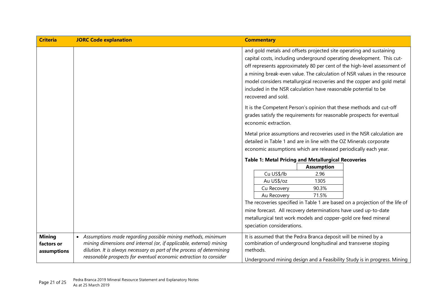| <b>Criteria</b>                            | <b>JORC Code explanation</b>                                                                                                                                                                                                                                                        | <b>Commentary</b>                                                                                                                                                                                                                                                                                                                                                                                                                                                        |
|--------------------------------------------|-------------------------------------------------------------------------------------------------------------------------------------------------------------------------------------------------------------------------------------------------------------------------------------|--------------------------------------------------------------------------------------------------------------------------------------------------------------------------------------------------------------------------------------------------------------------------------------------------------------------------------------------------------------------------------------------------------------------------------------------------------------------------|
|                                            |                                                                                                                                                                                                                                                                                     | and gold metals and offsets projected site operating and sustaining<br>capital costs, including underground operating development. This cut-<br>off represents approximately 80 per cent of the high-level assessment of<br>a mining break-even value. The calculation of NSR values in the resource<br>model considers metallurgical recoveries and the copper and gold metal<br>included in the NSR calculation have reasonable potential to be<br>recovered and sold. |
|                                            |                                                                                                                                                                                                                                                                                     | It is the Competent Person's opinion that these methods and cut-off<br>grades satisfy the requirements for reasonable prospects for eventual<br>economic extraction.                                                                                                                                                                                                                                                                                                     |
|                                            |                                                                                                                                                                                                                                                                                     | Metal price assumptions and recoveries used in the NSR calculation are<br>detailed in Table 1 and are in line with the OZ Minerals corporate<br>economic assumptions which are released periodically each year.                                                                                                                                                                                                                                                          |
|                                            |                                                                                                                                                                                                                                                                                     | <b>Table 1: Metal Pricing and Metallurgical Recoveries</b><br><b>Assumption</b><br>Cu US\$/lb<br>2.96<br>Au US\$/oz<br>1305<br>Cu Recovery<br>90.3%<br>Au Recovery<br>71.5%<br>The recoveries specified in Table 1 are based on a projection of the life of<br>mine forecast. All recovery determinations have used up-to-date<br>metallurgical test work models and copper-gold ore feed mineral<br>speciation considerations.                                          |
| <b>Mining</b><br>factors or<br>assumptions | • Assumptions made regarding possible mining methods, minimum<br>mining dimensions and internal (or, if applicable, external) mining<br>dilution. It is always necessary as part of the process of determining<br>reasonable prospects for eventual economic extraction to consider | It is assumed that the Pedra Branca deposit will be mined by a<br>combination of underground longitudinal and transverse stoping<br>methods.<br>Underground mining design and a Feasibility Study is in progress. Mining                                                                                                                                                                                                                                                 |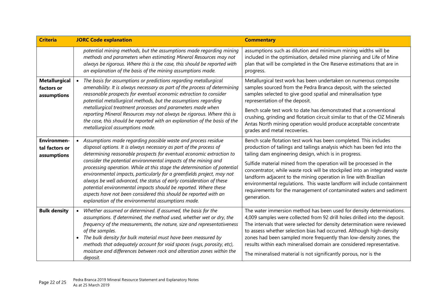| <b>Criteria</b>                                     | <b>JORC Code explanation</b>                                                                                                                                                                                                                                                                                                                                                                                                                                                                                                                                                                                                                                                                            | <b>Commentary</b>                                                                                                                                                                                                                                                                                                                                                                                                                                                                                                                                                                               |
|-----------------------------------------------------|---------------------------------------------------------------------------------------------------------------------------------------------------------------------------------------------------------------------------------------------------------------------------------------------------------------------------------------------------------------------------------------------------------------------------------------------------------------------------------------------------------------------------------------------------------------------------------------------------------------------------------------------------------------------------------------------------------|-------------------------------------------------------------------------------------------------------------------------------------------------------------------------------------------------------------------------------------------------------------------------------------------------------------------------------------------------------------------------------------------------------------------------------------------------------------------------------------------------------------------------------------------------------------------------------------------------|
|                                                     | potential mining methods, but the assumptions made regarding mining<br>methods and parameters when estimating Mineral Resources may not<br>always be rigorous. Where this is the case, this should be reported with<br>an explanation of the basis of the mining assumptions made.                                                                                                                                                                                                                                                                                                                                                                                                                      | assumptions such as dilution and minimum mining widths will be<br>included in the optimisation, detailed mine planning and Life of Mine<br>plan that will be completed in the Ore Reserve estimations that are in<br>progress.                                                                                                                                                                                                                                                                                                                                                                  |
| <b>Metallurgical</b><br>factors or<br>assumptions   | The basis for assumptions or predictions regarding metallurgical<br>$\bullet$<br>amenability. It is always necessary as part of the process of determining<br>reasonable prospects for eventual economic extraction to consider<br>potential metallurgical methods, but the assumptions regarding<br>metallurgical treatment processes and parameters made when<br>reporting Mineral Resources may not always be rigorous. Where this is<br>the case, this should be reported with an explanation of the basis of the<br>metallurgical assumptions made.                                                                                                                                                | Metallurgical test work has been undertaken on numerous composite<br>samples sourced from the Pedra Branca deposit, with the selected<br>samples selected to give good spatial and mineralisation type<br>representation of the deposit.<br>Bench scale test work to date has demonstrated that a conventional<br>crushing, grinding and flotation circuit similar to that of the OZ Minerals<br>Antas North mining operation would produce acceptable concentrate<br>grades and metal recoveries.                                                                                              |
| <b>Environmen-</b><br>tal factors or<br>assumptions | Assumptions made regarding possible waste and process residue<br>disposal options. It is always necessary as part of the process of<br>determining reasonable prospects for eventual economic extraction to<br>consider the potential environmental impacts of the mining and<br>processing operation. While at this stage the determination of potential<br>environmental impacts, particularly for a greenfields project, may not<br>always be well advanced, the status of early consideration of these<br>potential environmental impacts should be reported. Where these<br>aspects have not been considered this should be reported with an<br>explanation of the environmental assumptions made. | Bench scale flotation test work has been completed. This includes<br>production of tailings and tailings analysis which has been fed into the<br>tailing dam engineering design, which is in progress.<br>Sulfide material mined from the operation will be processed in the<br>concentrator, while waste rock will be stockpiled into an integrated waste<br>landform adjacent to the mining operation in line with Brazilian<br>environmental regulations. This waste landform will include containment<br>requirements for the management of contaminated waters and sediment<br>generation. |
| <b>Bulk density</b>                                 | Whether assumed or determined. If assumed, the basis for the<br>$\bullet$<br>assumptions. If determined, the method used, whether wet or dry, the<br>frequency of the measurements, the nature, size and representativeness<br>of the samples.<br>The bulk density for bulk material must have been measured by<br>methods that adequately account for void spaces (vugs, porosity, etc),<br>moisture and differences between rock and alteration zones within the<br>deposit.                                                                                                                                                                                                                          | The water immersion method has been used for density determinations.<br>4,009 samples were collected from 92 drill holes drilled into the deposit.<br>The intervals that were selected for density determination were reviewed<br>to assess whether selection bias had occurred. Although high-density<br>zones had been sampled more frequently than low-density zones, the<br>results within each mineralised domain are considered representative.<br>The mineralised material is not significantly porous, nor is the                                                                       |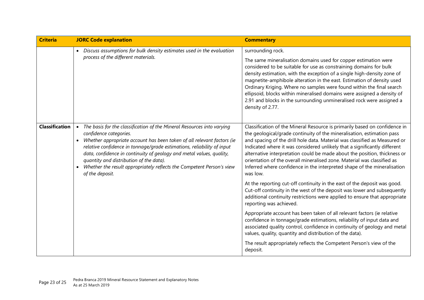| <b>Criteria</b>       | <b>JORC Code explanation</b>                                                                                                                                                                                                                                                                                                                                                                                                                                                                    | <b>Commentary</b>                                                                                                                                                                                                                                                                                                                                                                                                                                                                                                                                                                                                                                                                                                                                                                                                                                                                                                                                                                                                                                                                                                                                                                                                  |
|-----------------------|-------------------------------------------------------------------------------------------------------------------------------------------------------------------------------------------------------------------------------------------------------------------------------------------------------------------------------------------------------------------------------------------------------------------------------------------------------------------------------------------------|--------------------------------------------------------------------------------------------------------------------------------------------------------------------------------------------------------------------------------------------------------------------------------------------------------------------------------------------------------------------------------------------------------------------------------------------------------------------------------------------------------------------------------------------------------------------------------------------------------------------------------------------------------------------------------------------------------------------------------------------------------------------------------------------------------------------------------------------------------------------------------------------------------------------------------------------------------------------------------------------------------------------------------------------------------------------------------------------------------------------------------------------------------------------------------------------------------------------|
|                       | • Discuss assumptions for bulk density estimates used in the evaluation<br>process of the different materials.                                                                                                                                                                                                                                                                                                                                                                                  | surrounding rock.<br>The same mineralisation domains used for copper estimation were<br>considered to be suitable for use as constraining domains for bulk<br>density estimation, with the exception of a single high-density zone of<br>magnetite-amphibole alteration in the east. Estimation of density used<br>Ordinary Kriging. Where no samples were found within the final search<br>ellipsoid, blocks within mineralised domains were assigned a density of<br>2.91 and blocks in the surrounding unmineralised rock were assigned a<br>density of 2.77.                                                                                                                                                                                                                                                                                                                                                                                                                                                                                                                                                                                                                                                   |
| <b>Classification</b> | The basis for the classification of the Mineral Resources into varying<br>$\bullet$<br>confidence categories.<br>• Whether appropriate account has been taken of all relevant factors (ie<br>relative confidence in tonnage/grade estimations, reliability of input<br>data, confidence in continuity of geology and metal values, quality,<br>quantity and distribution of the data).<br>Whether the result appropriately reflects the Competent Person's view<br>$\bullet$<br>of the deposit. | Classification of the Mineral Resource is primarily based on confidence in<br>the geological/grade continuity of the mineralisation, estimation pass<br>and spacing of the drill hole data. Material was classified as Measured or<br>Indicated where it was considered unlikely that a significantly different<br>alternative interpretation could be made about the position, thickness or<br>orientation of the overall mineralised zone. Material was classified as<br>Inferred where confidence in the interpreted shape of the mineralisation<br>was low.<br>At the reporting cut-off continuity in the east of the deposit was good.<br>Cut-off continuity in the west of the deposit was lower and subsequently<br>additional continuity restrictions were applied to ensure that appropriate<br>reporting was achieved.<br>Appropriate account has been taken of all relevant factors (ie relative<br>confidence in tonnage/grade estimations, reliability of input data and<br>associated quality control, confidence in continuity of geology and metal<br>values, quality, quantity and distribution of the data).<br>The result appropriately reflects the Competent Person's view of the<br>deposit. |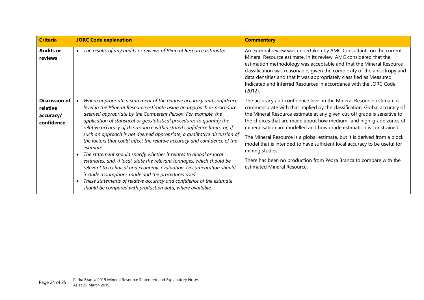| <b>Criteria</b>                                             | <b>JORC Code explanation</b>                                                                                                                                                                                                                                                                                                                                                                                                                                                                                                                                                                                                                                                                                                                                                                                                                                                                                                                                 | <b>Commentary</b>                                                                                                                                                                                                                                                                                                                                                                                                                                                                                                                                                                                                                                              |
|-------------------------------------------------------------|--------------------------------------------------------------------------------------------------------------------------------------------------------------------------------------------------------------------------------------------------------------------------------------------------------------------------------------------------------------------------------------------------------------------------------------------------------------------------------------------------------------------------------------------------------------------------------------------------------------------------------------------------------------------------------------------------------------------------------------------------------------------------------------------------------------------------------------------------------------------------------------------------------------------------------------------------------------|----------------------------------------------------------------------------------------------------------------------------------------------------------------------------------------------------------------------------------------------------------------------------------------------------------------------------------------------------------------------------------------------------------------------------------------------------------------------------------------------------------------------------------------------------------------------------------------------------------------------------------------------------------------|
| <b>Audits or</b><br>reviews                                 | The results of any audits or reviews of Mineral Resource estimates.<br>$\bullet$                                                                                                                                                                                                                                                                                                                                                                                                                                                                                                                                                                                                                                                                                                                                                                                                                                                                             | An external review was undertaken by AMC Consultants on the current<br>Mineral Resource estimate. In its review, AMC considered that the<br>estimation methodology was acceptable and that the Mineral Resource<br>classification was reasonable, given the complexity of the anisotropy and<br>data densities and that it was appropriately classified as Measured,<br>Indicated and Inferred Resources in accordance with the JORC Code<br>(2012).                                                                                                                                                                                                           |
| <b>Discussion of</b><br>relative<br>accuracy/<br>confidence | Where appropriate a statement of the relative accuracy and confidence<br>level in the Mineral Resource estimate using an approach or procedure<br>deemed appropriate by the Competent Person. For example, the<br>application of statistical or geostatistical procedures to quantify the<br>relative accuracy of the resource within stated confidence limits, or, if<br>such an approach is not deemed appropriate, a qualitative discussion of<br>the factors that could affect the relative accuracy and confidence of the<br>estimate.<br>The statement should specify whether it relates to global or local<br>estimates, and, if local, state the relevant tonnages, which should be<br>relevant to technical and economic evaluation. Documentation should<br>include assumptions made and the procedures used.<br>These statements of relative accuracy and confidence of the estimate<br>should be compared with production data, where available. | The accuracy and confidence level in the Mineral Resource estimate is<br>commensurate with that implied by the classification. Global accuracy of<br>the Mineral Resource estimate at any given cut-off grade is sensitive to<br>the choices that are made about how medium- and high-grade zones of<br>mineralisation are modelled and how grade estimation is constrained.<br>The Mineral Resource is a global estimate, but it is derived from a block<br>model that is intended to have sufficient local accuracy to be useful for<br>mining studies.<br>There has been no production from Pedra Branca to compare with the<br>estimated Mineral Resource. |